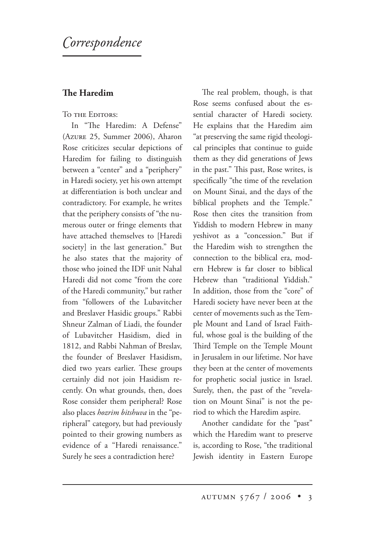# *orrespondence*

## **e Haredim**

### TO THE EDITORS:

In "The Haredim: A Defense" (Azure 25, Summer 2006), Aharon Rose criticizes secular depictions of Haredim for failing to distinguish between a "center" and a "periphery" in Haredi society, yet his own attempt at differentiation is both unclear and contradictory. For example, he writes that the periphery consists of "the numerous outer or fringe elements that have attached themselves to [Haredi society] in the last generation." But he also states that the majority of those who joined the IDF unit Nahal Haredi did not come "from the core of the Haredi community," but rather from "followers of the Lubavitcher and Breslaver Hasidic groups." Rabbi Shneur Zalman of Liadi, the founder of Lubavitcher Hasidism, died in 1812, and Rabbi Nahman of Breslav, the founder of Breslaver Hasidism, died two years earlier. These groups certainly did not join Hasidism recently. On what grounds, then, does Rose consider them peripheral? Rose also places *hozrim bitshuva* in the "peripheral" category, but had previously pointed to their growing numbers as evidence of a "Haredi renaissance." Surely he sees a contradiction here?

The real problem, though, is that Rose seems confused about the essential character of Haredi society. He explains that the Haredim aim "at preserving the same rigid theological principles that continue to guide them as they did generations of Jews in the past." This past, Rose writes, is specifically "the time of the revelation on Mount Sinai, and the days of the biblical prophets and the Temple." Rose then cites the transition from Yiddish to modern Hebrew in many yeshivot as a "concession." But if the Haredim wish to strengthen the connection to the biblical era, modern Hebrew is far closer to biblical Hebrew than "traditional Yiddish." In addition, those from the "core" of Haredi society have never been at the center of movements such as the Temple Mount and Land of Israel Faithful, whose goal is the building of the Third Temple on the Temple Mount in Jerusalem in our lifetime. Nor have they been at the center of movements for prophetic social justice in Israel. Surely, then, the past of the "revelation on Mount Sinai" is not the period to which the Haredim aspire.

Another candidate for the "past" which the Haredim want to preserve is, according to Rose, "the traditional Jewish identity in Eastern Europe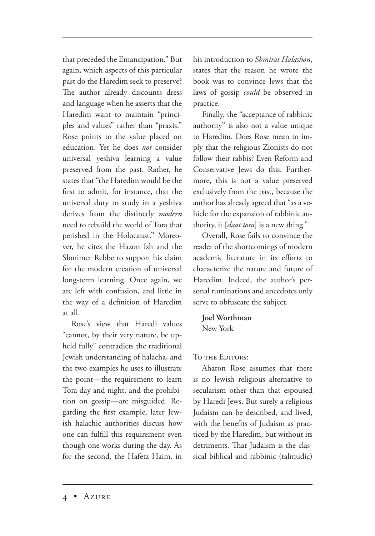that preceded the Emancipation." But again, which aspects of this particular past do the Haredim seek to preserve? The author already discounts dress and language when he asserts that the Haredim want to maintain "principles and values" rather than "praxis." Rose points to the value placed on education. Yet he does *not* consider universal yeshiva learning a value preserved from the past. Rather, he states that "the Haredim would be the first to admit, for instance, that the universal duty to study in a yeshiva derives from the distinctly *modern* need to rebuild the world of Tora that perished in the Holocaust." Moreover, he cites the Hazon Ish and the Slonimer Rebbe to support his claim for the modern creation of universal long-term learning. Once again, we are left with confusion, and little in the way of a definition of Haredim at all.

Rose's view that Haredi values "cannot, by their very nature, be upheld fully" contradicts the traditional Jewish understanding of halacha, and the two examples he uses to illustrate the point—the requirement to learn Tora day and night, and the prohibition on gossip—are misguided. Regarding the first example, later Jewish halachic authorities discuss how one can fulfill this requirement even though one works during the day. As for the second, the Hafetz Haim, in his introduction to *Shmirat Halashon*, states that the reason he wrote the book was to convince Jews that the laws of gossip *could* be observed in practice.

Finally, the "acceptance of rabbinic authority" is also not a value unique to Haredim. Does Rose mean to imply that the religious Zionists do not follow their rabbis? Even Reform and Conservative Jews do this. Furthermore, this is not a value preserved exclusively from the past, because the author has already agreed that "as a vehicle for the expansion of rabbinic authority, it [*daat tora*] is a new thing."

Overall, Rose fails to convince the reader of the shortcomings of modern academic literature in its efforts to characterize the nature and future of Haredim. Indeed, the author's personal ruminations and anecdotes only serve to obfuscate the subject.

**Joel Worthman** New York

TO THE EDITORS:

Aharon Rose assumes that there is no Jewish religious alternative to secularism other than that espoused by Haredi Jews. But surely a religious Judaism can be described, and lived, with the benefits of Judaism as practiced by the Haredim, but without its detriments. That Judaism is the classical biblical and rabbinic (talmudic)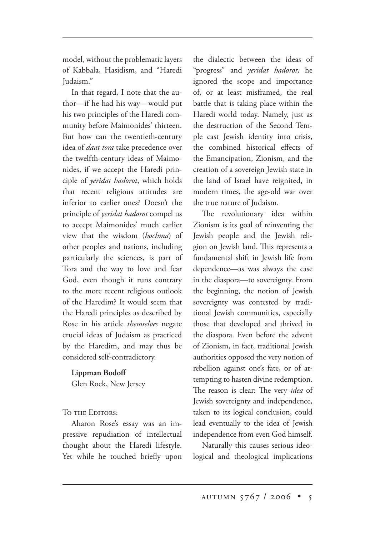model, without the problematic layers of Kabbala, Hasidism, and "Haredi Judaism."

In that regard, I note that the author—if he had his way—would put his two principles of the Haredi community before Maimonides' thirteen. But how can the twentieth-century idea of *daat tora* take precedence over the twelfth-century ideas of Maimonides, if we accept the Haredi principle of *yeridat hadorot*, which holds that recent religious attitudes are inferior to earlier ones? Doesn't the principle of *yeridat hadorot* compel us to accept Maimonides' much earlier view that the wisdom (*hochma*) of other peoples and nations, including particularly the sciences, is part of Tora and the way to love and fear God, even though it runs contrary to the more recent religious outlook of the Haredim? It would seem that the Haredi principles as described by Rose in his article *themselves* negate crucial ideas of Judaism as practiced by the Haredim, and may thus be considered self-contradictory.

#### **Lippman Bodoff**

Glen Rock, New Jersey

TO THE EDITORS:

Aharon Rose's essay was an impressive repudiation of intellectual thought about the Haredi lifestyle. Yet while he touched briefly upon the dialectic between the ideas of "progress" and *yeridat hadorot*, he ignored the scope and importance of, or at least misframed, the real battle that is taking place within the Haredi world today. Namely, just as the destruction of the Second Temple cast Jewish identity into crisis, the combined historical effects of the Emancipation, Zionism, and the creation of a sovereign Jewish state in the land of Israel have reignited, in modern times, the age-old war over the true nature of Judaism.

The revolutionary idea within Zionism is its goal of reinventing the Jewish people and the Jewish religion on Jewish land. This represents a fundamental shift in Jewish life from dependence—as was always the case in the diaspora—to sovereignty. From the beginning, the notion of Jewish sovereignty was contested by traditional Jewish communities, especially those that developed and thrived in the diaspora. Even before the advent of Zionism, in fact, traditional Jewish authorities opposed the very notion of rebellion against one's fate, or of attempting to hasten divine redemption. The reason is clear: The very *idea* of Jewish sovereignty and independence, taken to its logical conclusion, could lead eventually to the idea of Jewish independence from even God himself.

Naturally this causes serious ideological and theological implications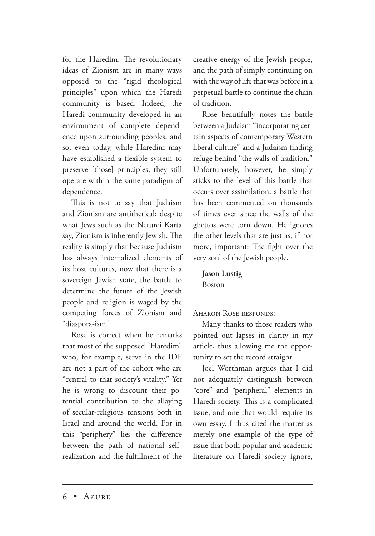for the Haredim. The revolutionary ideas of Zionism are in many ways opposed to the "rigid theological principles" upon which the Haredi community is based. Indeed, the Haredi community developed in an environment of complete dependence upon surrounding peoples, and so, even today, while Haredim may have established a flexible system to preserve [those] principles, they still operate within the same paradigm of dependence.

This is not to say that Judaism and Zionism are antithetical; despite what Jews such as the Neturei Karta say, Zionism is inherently Jewish. The reality is simply that because Judaism has always internalized elements of its host cultures, now that there is a sovereign Jewish state, the battle to determine the future of the Jewish people and religion is waged by the competing forces of Zionism and "diaspora-ism."

Rose is correct when he remarks that most of the supposed "Haredim" who, for example, serve in the IDF are not a part of the cohort who are "central to that society's vitality." Yet he is wrong to discount their potential contribution to the allaying of secular-religious tensions both in Israel and around the world. For in this "periphery" lies the difference between the path of national selfrealization and the fulfillment of the creative energy of the Jewish people, and the path of simply continuing on with the way of life that was before in a perpetual battle to continue the chain of tradition.

Rose beautifully notes the battle between a Judaism "incorporating certain aspects of contemporary Western liberal culture" and a Judaism finding refuge behind "the walls of tradition." Unfortunately, however, he simply sticks to the level of this battle that occurs over assimilation, a battle that has been commented on thousands of times ever since the walls of the ghettos were torn down. He ignores the other levels that are just as, if not more, important: The fight over the very soul of the Jewish people.

**Jason Lustig** Boston

AHARON ROSE RESPONDS:

Many thanks to those readers who pointed out lapses in clarity in my article, thus allowing me the opportunity to set the record straight.

Joel Worthman argues that I did not adequately distinguish between "core" and "peripheral" elements in Haredi society. This is a complicated issue, and one that would require its own essay. I thus cited the matter as merely one example of the type of issue that both popular and academic literature on Haredi society ignore,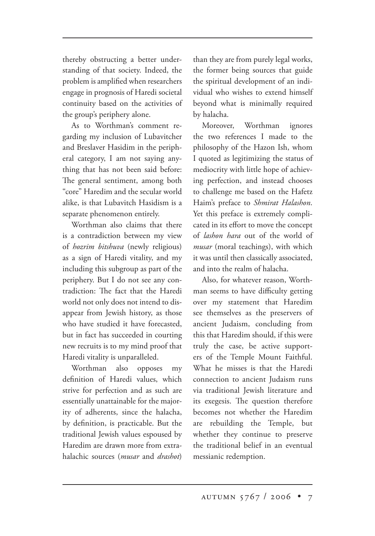thereby obstructing a better understanding of that society. Indeed, the problem is amplified when researchers engage in prognosis of Haredi societal continuity based on the activities of the group's periphery alone.

As to Worthman's comment regarding my inclusion of Lubavitcher and Breslaver Hasidim in the peripheral category, I am not saying anything that has not been said before: The general sentiment, among both "core" Haredim and the secular world alike, is that Lubavitch Hasidism is a separate phenomenon entirely.

Worthman also claims that there is a contradiction between my view of *hozrim bitshuva* (newly religious) as a sign of Haredi vitality, and my including this subgroup as part of the periphery. But I do not see any contradiction: The fact that the Haredi world not only does not intend to disappear from Jewish history, as those who have studied it have forecasted, but in fact has succeeded in courting new recruits is to my mind proof that Haredi vitality is unparalleled.

Worthman also opposes my definition of Haredi values, which strive for perfection and as such are essentially unattainable for the majority of adherents, since the halacha, by definition, is practicable. But the traditional Jewish values espoused by Haredim are drawn more from extrahalachic sources (*musar* and *drashot*) than they are from purely legal works, the former being sources that guide the spiritual development of an individual who wishes to extend himself beyond what is minimally required by halacha.

Moreover, Worthman ignores the two references I made to the philosophy of the Hazon Ish, whom I quoted as legitimizing the status of mediocrity with little hope of achieving perfection, and instead chooses to challenge me based on the Hafetz Haim's preface to *Shmirat Halashon*. Yet this preface is extremely complicated in its effort to move the concept of *lashon hara* out of the world of *musar* (moral teachings), with which it was until then classically associated, and into the realm of halacha.

Also, for whatever reason, Worthman seems to have difficulty getting over my statement that Haredim see themselves as the preservers of ancient Judaism, concluding from this that Haredim should, if this were truly the case, be active supporters of the Temple Mount Faithful. What he misses is that the Haredi connection to ancient Judaism runs via traditional Jewish literature and its exegesis. The question therefore becomes not whether the Haredim are rebuilding the Temple, but whether they continue to preserve the traditional belief in an eventual messianic redemption.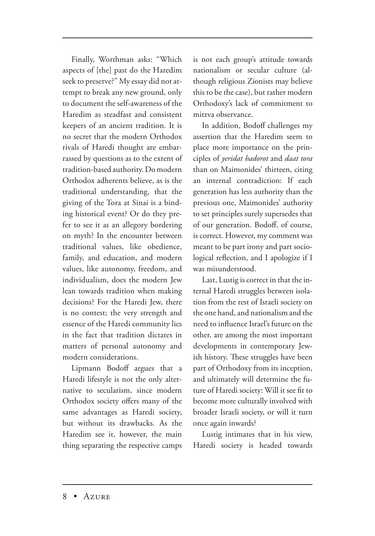Finally, Worthman asks: "Which aspects of [the] past do the Haredim seek to preserve?" My essay did not attempt to break any new ground, only to document the self-awareness of the Haredim as steadfast and consistent keepers of an ancient tradition. It is no secret that the modern Orthodox rivals of Haredi thought are embarrassed by questions as to the extent of tradition-based authority. Do modern Orthodox adherents believe, as is the traditional understanding, that the giving of the Tora at Sinai is a binding historical event? Or do they prefer to see it as an allegory bordering on myth? In the encounter between traditional values, like obedience, family, and education, and modern values, like autonomy, freedom, and individualism, does the modern Jew lean towards tradition when making decisions? For the Haredi Jew, there is no contest; the very strength and essence of the Haredi community lies in the fact that tradition dictates in matters of personal autonomy and modern considerations.

Lipmann Bodoff argues that a Haredi lifestyle is not the only alternative to secularism, since modern Orthodox society offers many of the same advantages as Haredi society, but without its drawbacks. As the Haredim see it, however, the main thing separating the respective camps is not each group's attitude towards nationalism or secular culture (although religious Zionists may believe this to be the case), but rather modern Orthodoxy's lack of commitment to mitzva observance.

In addition, Bodoff challenges my assertion that the Haredim seem to place more importance on the principles of *yeridat hadorot* and *daat tora* than on Maimonides' thirteen, citing an internal contradiction: If each generation has less authority than the previous one, Maimonides' authority to set principles surely supersedes that of our generation. Bodoff, of course, is correct. However, my comment was meant to be part irony and part sociological reflection, and I apologize if I was misunderstood.

Last, Lustig is correct in that the internal Haredi struggles between isolation from the rest of Israeli society on the one hand, and nationalism and the need to influence Israel's future on the other, are among the most important developments in contemporary Jewish history. These struggles have been part of Orthodoxy from its inception, and ultimately will determine the future of Haredi society: Will it see fit to become more culturally involved with broader Israeli society, or will it turn once again inwards?

Lustig intimates that in his view, Haredi society is headed towards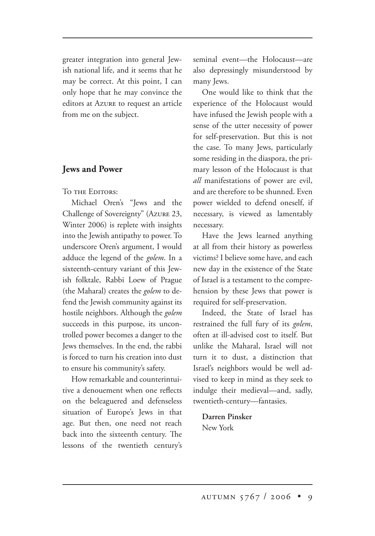greater integration into general Jewish national life, and it seems that he may be correct. At this point, I can only hope that he may convince the editors at Azure to request an article from me on the subject.

#### **Jews and Power**

TO THE EDITORS'

Michael Oren's "Jews and the Challenge of Sovereignty" (Azure 23, Winter 2006) is replete with insights into the Jewish antipathy to power. To underscore Oren's argument, I would adduce the legend of the *golem*. In a sixteenth-century variant of this Jewish folktale, Rabbi Loew of Prague (the Maharal) creates the *golem* to defend the Jewish community against its hostile neighbors. Although the *golem* succeeds in this purpose, its uncontrolled power becomes a danger to the Jews themselves. In the end, the rabbi is forced to turn his creation into dust to ensure his community's safety.

How remarkable and counterintuitive a denouement when one reflects on the beleaguered and defenseless situation of Europe's Jews in that age. But then, one need not reach back into the sixteenth century. The lessons of the twentieth century's seminal event—the Holocaust—are also depressingly misunderstood by many Jews.

One would like to think that the experience of the Holocaust would have infused the Jewish people with a sense of the utter necessity of power for self-preservation. But this is not the case. To many Jews, particularly some residing in the diaspora, the primary lesson of the Holocaust is that *all* manifestations of power are evil, and are therefore to be shunned. Even power wielded to defend oneself, if necessary, is viewed as lamentably necessary.

Have the Jews learned anything at all from their history as powerless victims? I believe some have, and each new day in the existence of the State of Israel is a testament to the comprehension by these Jews that power is required for self-preservation.

Indeed, the State of Israel has restrained the full fury of its *golem*, often at ill-advised cost to itself. But unlike the Maharal, Israel will not turn it to dust, a distinction that Israel's neighbors would be well advised to keep in mind as they seek to indulge their medieval—and, sadly, twentieth-century—fantasies.

**Darren Pinsker** New York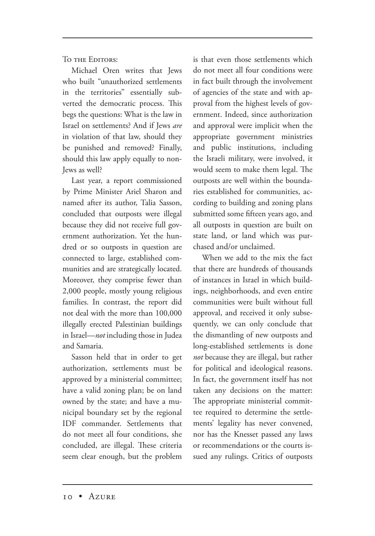TO THE EDITORS:

Michael Oren writes that Jews who built "unauthorized settlements in the territories" essentially subverted the democratic process. This begs the questions: What is the law in Israel on settlements? And if Jews *are* in violation of that law, should they be punished and removed? Finally, should this law apply equally to non-Jews as well?

Last year, a report commissioned by Prime Minister Ariel Sharon and named after its author, Talia Sasson, concluded that outposts were illegal because they did not receive full government authorization. Yet the hundred or so outposts in question are connected to large, established communities and are strategically located. Moreover, they comprise fewer than 2,000 people, mostly young religious families. In contrast, the report did not deal with the more than 100,000 illegally erected Palestinian buildings in Israel—*not* including those in Judea and Samaria.

Sasson held that in order to get authorization, settlements must be approved by a ministerial committee; have a valid zoning plan; be on land owned by the state; and have a municipal boundary set by the regional IDF commander. Settlements that do not meet all four conditions, she concluded, are illegal. These criteria seem clear enough, but the problem is that even those settlements which do not meet all four conditions were in fact built through the involvement of agencies of the state and with approval from the highest levels of government. Indeed, since authorization and approval were implicit when the appropriate government ministries and public institutions, including the Israeli military, were involved, it would seem to make them legal. The outposts are well within the boundaries established for communities, according to building and zoning plans submitted some fifteen years ago, and all outposts in question are built on state land, or land which was purchased and/or unclaimed.

When we add to the mix the fact that there are hundreds of thousands of instances in Israel in which buildings, neighborhoods, and even entire communities were built without full approval, and received it only subsequently, we can only conclude that the dismantling of new outposts and long-established settlements is done *not* because they are illegal, but rather for political and ideological reasons. In fact, the government itself has not taken any decisions on the matter: The appropriate ministerial committee required to determine the settlements' legality has never convened, nor has the Knesset passed any laws or recommendations or the courts issued any rulings. Critics of outposts